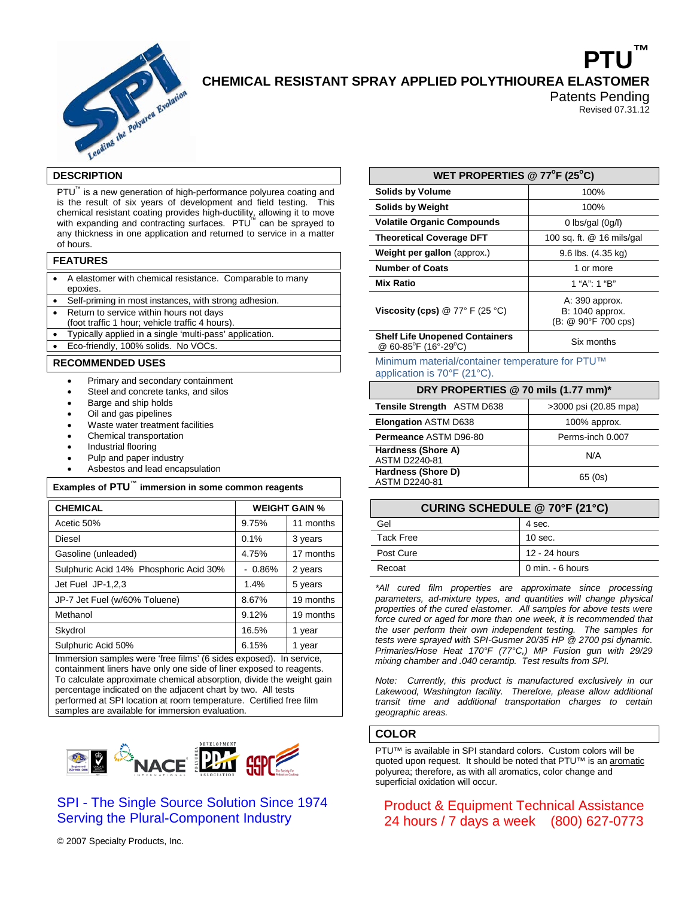

# **PTU™ CHEMICAL RESISTANT SPRAY APPLIED POLYTHIOUREA ELASTOMER**

Patents Pending Revised 07.31.12

### **DESCRIPTION**

PTU<sup>™</sup> is a new generation of high-performance polyurea coating and is the result of six years of development and field testing. This chemical resistant coating provides high-ductility, allowing it to move with expanding and contracting surfaces. PTU<sup>™</sup> can be sprayed to any thickness in one application and returned to service in a matter of hours.

|--|

| • A elastomer with chemical resistance. Comparable to many |  |
|------------------------------------------------------------|--|
| epoxies.                                                   |  |

• Self-priming in most instances, with strong adhesion.

- Return to service within hours not days
- (foot traffic 1 hour; vehicle traffic 4 hours).

• Typically applied in a single 'multi-pass' application.

Eco-friendly, 100% solids. No VOCs.

#### **RECOMMENDED USES**

- Primary and secondary containment
- Steel and concrete tanks, and silos
- Barge and ship holds
- Oil and gas pipelines
- Waste water treatment facilities
- Chemical transportation
- Industrial flooring
- Pulp and paper industry
- Asbestos and lead encapsulation

### **Examples of PTU™ immersion in some common reagents**

| <b>CHEMICAL</b>                                                                                                                                                                                                                                                                                                                                         | <b>WEIGHT GAIN %</b> |           |  |  |
|---------------------------------------------------------------------------------------------------------------------------------------------------------------------------------------------------------------------------------------------------------------------------------------------------------------------------------------------------------|----------------------|-----------|--|--|
| Acetic 50%                                                                                                                                                                                                                                                                                                                                              | 9.75%                | 11 months |  |  |
| Diesel                                                                                                                                                                                                                                                                                                                                                  | 0.1%                 | 3 years   |  |  |
| Gasoline (unleaded)                                                                                                                                                                                                                                                                                                                                     | 4.75%                | 17 months |  |  |
| Sulphuric Acid 14% Phosphoric Acid 30%                                                                                                                                                                                                                                                                                                                  | $-0.86\%$            | 2 years   |  |  |
| Jet Fuel JP-1,2,3                                                                                                                                                                                                                                                                                                                                       | 1.4%                 | 5 years   |  |  |
| JP-7 Jet Fuel (w/60% Toluene)                                                                                                                                                                                                                                                                                                                           | 8.67%                | 19 months |  |  |
| Methanol                                                                                                                                                                                                                                                                                                                                                | 9.12%                | 19 months |  |  |
| Skydrol                                                                                                                                                                                                                                                                                                                                                 | 16.5%                | 1 year    |  |  |
| Sulphuric Acid 50%                                                                                                                                                                                                                                                                                                                                      | 6.15%                | 1 year    |  |  |
| Immersion samples were 'free films' (6 sides exposed). In service,<br>containment liners have only one side of liner exposed to reagents.<br>To calculate approximate chemical absorption, divide the weight gain<br>percentage indicated on the adjacent chart by two. All tests<br>performed at SPI location at room temperature. Certified free film |                      |           |  |  |

performed at SPI location at room temperature. Certified free film samples are available for immersion evaluation.



# SPI - The Single Source Solution Since 1974 Serving the Plural-Component Industry

© 2007 Specialty Products, Inc.

| WET PROPERTIES @ $77^{\circ}$ F (25°C)                        |                                                          |  |  |
|---------------------------------------------------------------|----------------------------------------------------------|--|--|
| <b>Solids by Volume</b>                                       | 100%                                                     |  |  |
| <b>Solids by Weight</b>                                       | 100%                                                     |  |  |
| <b>Volatile Organic Compounds</b>                             | 0 lbs/gal $(0g/l)$                                       |  |  |
| <b>Theoretical Coverage DFT</b>                               | 100 sq. ft. @ 16 mils/gal                                |  |  |
| Weight per gallon (approx.)                                   | 9.6 lbs. (4.35 kg)                                       |  |  |
| <b>Number of Coats</b>                                        | 1 or more                                                |  |  |
| <b>Mix Ratio</b>                                              | 1 "A": 1 "B"                                             |  |  |
| Viscosity (cps) @ 77° F (25 °C)                               | A: 390 approx.<br>B: 1040 approx.<br>(B: @ 90°F 700 cps) |  |  |
| <b>Shelf Life Unopened Containers</b><br>@ 60-85°F (16°-29°C) | Six months                                               |  |  |

Minimum material/container temperature for PTU™ application is 70°F (21°C).

| DRY PROPERTIES @ 70 mils (1.77 mm)* |                       |  |  |  |
|-------------------------------------|-----------------------|--|--|--|
| Tensile Strength ASTM D638          | >3000 psi (20.85 mpa) |  |  |  |
| <b>Elongation ASTM D638</b>         | 100% approx.          |  |  |  |
| Permeance ASTM D96-80               | Perms-inch 0.007      |  |  |  |
| Hardness (Shore A)<br>ASTM D2240-81 | N/A                   |  |  |  |
| Hardness (Shore D)<br>ASTM D2240-81 | 65(0s)                |  |  |  |

### **CURING SCHEDULE @ 70°F (21°C)**

| Gel              | 4 sec.           |
|------------------|------------------|
| <b>Tack Free</b> | $10$ sec.        |
| Post Cure        | 12 - 24 hours    |
| Recoat           | 0 min. - 6 hours |

*\*All cured film properties are approximate since processing parameters, ad-mixture types, and quantities will change physical properties of the cured elastomer. All samples for above tests were force cured or aged for more than one week, it is recommended that the user perform their own independent testing. The samples for tests were sprayed with SPI-Gusmer 20/35 HP @ 2700 psi dynamic. Primaries/Hose Heat 170°F (77°C,) MP Fusion gun with 29/29 mixing chamber and .040 ceramtip. Test results from SPI.*

*Note: Currently, this product is manufactured exclusively in our Lakewood, Washington facility. Therefore, please allow additional transit time and additional transportation charges to certain geographic areas.*

### **COLOR**

PTU™ is available in SPI standard colors. Custom colors will be quoted upon request. It should be noted that PTU™ is an aromatic polyurea; therefore, as with all aromatics, color change and superficial oxidation will occur.

# Product & Equipment Technical Assistance 24 hours / 7 days a week (800) 627-0773